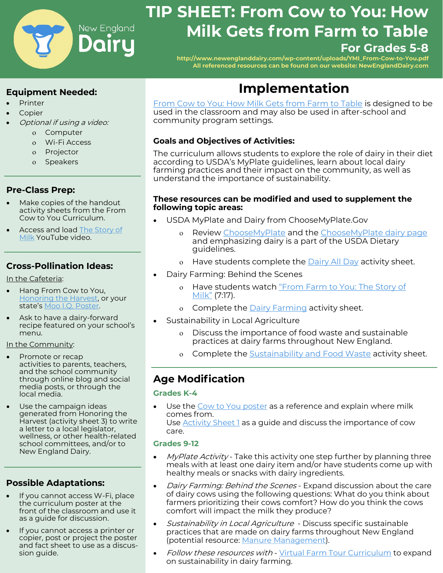

# **TIP SHEET: From Cow to You: How Milk Gets from Farm to Table For Grades 5-8**

**[http://www.newenglanddairy.com/wp](http://www.newenglanddairy.com/wp-content/uploads/YMI_From-Cow-to-You.pdf)-content/uploads/YMI\_From-Cow-to-You.pdf All referenced resources can be found on our website: NewEnglandDairy.com**

# **Equipment Needed:**

- **Printer**
- **Copier**
- Optional if using a video:
	- o Computer
	- Wi-Fi Access
	- Projector
	- Speakers

# **Pre-Class Prep:**

- Make copies of the handout activity sheets from the From Cow to You Curriculum.
- Access and load [The Story of](https://www.youtube.com/watch?v=y_QVh5YqvGo&feature=youtu.be)  [Milk](https://www.youtube.com/watch?v=y_QVh5YqvGo&feature=youtu.be) YouTube video.

# **Cross-Pollination Ideas:**

In the Cafeteria:

- Hang From Cow to You, [Honoring the Harvest,](https://www.newenglanddairy.com/wp-content/uploads/NEW-Honor-the-Harvest-Infographic.pdf) or your state's [Moo I.Q. Poster.](https://www.newenglanddairy.com/farm-to-school-marketing-resources/)
- Ask to have a dairy-forward recipe featured on your school's menu.

#### In the Community:

- Promote or recap activities to parents, teachers, and the school community through online blog and social media posts, or through the local media.
- Use the campaign ideas generated from Honoring the Harvest (activity sheet 3) to write a letter to a local legislator, wellness, or other health-related school committees, and/or to New England Dairy.

# **Possible Adaptations:**

- If you cannot access W-Fi, place the curriculum poster at the front of the classroom and use it as a guide for discussion.
- If you cannot access a printer or copier, post or project the poster and fact sheet to use as a discussion guide.

# **Implementation**

[From Cow to You: How Milk Gets from Farm to Table](http://x70qf2omd3j1myjzz16p9h6m-wpengine.netdna-ssl.com/wp-content/uploads/YMI_From-Cow-to-You.pdf) is designed to be used in the classroom and may also be used in after-school and community program settings.

# **Goals and Objectives of Activities:**

The curriculum allows students to explore the role of dairy in their diet according to USDA's MyPlate guidelines, learn about local dairy farming practices and their impact on the community, as well as understand the importance of sustainability.

#### **These resources can be modified and used to supplement the following topic areas:**

- USDA MyPlate and Dairy from ChooseMyPlate.Gov
	- Review [ChooseMyPlate](https://www.choosemyplate.gov/) and the [ChooseMyPlate dairy page](https://www.choosemyplate.gov/eathealthy/dairy) and emphasizing dairy is a part of the USDA Dietary guidelines.
	- o Have students complete the **[Dairy All Day](http://x70qf2omd3j1myjzz16p9h6m-wpengine.netdna-ssl.com/wp-content/uploads/YMI_From-Cow-to-You.pdf)** activity sheet.
- Dairy Farming: Behind the Scenes
	- o Have students watch "[From Farm to You: The Story of](https://www.youtube.com/watch?v=y_QVh5YqvGo&feature=youtu.be) [Milk](https://www.youtube.com/watch?v=y_QVh5YqvGo&feature=youtu.be)" (7:17).
	- o Complete the [Dairy Farming](http://x70qf2omd3j1myjzz16p9h6m-wpengine.netdna-ssl.com/wp-content/uploads/YMI_From-Cow-to-You.pdf) activity sheet.
- Sustainability in Local Agriculture
	- Discuss the importance of food waste and sustainable practices at dairy farms throughout New England.
	- o Complete the **Sustainability and Food Waste activity sheet**.

# **Age Modification**

#### **Grades K-4**

Use the [Cow to You poster](http://ymiclassroom.com/wp-content/uploads/2017/08/ned_poster.pdf) as a reference and explain where milk comes from. Use [Activity Sheet 1](http://x70qf2omd3j1myjzz16p9h6m-wpengine.netdna-ssl.com/wp-content/uploads/YMI_From-Cow-to-You.pdf) as a guide and discuss the importance of cow care.

#### **Grades 9-12**

- *MyPlate Activity* Take this activity one step further by planning three meals with at least one dairy item and/or have students come up with healthy meals or snacks with dairy ingredients.
- Dairy Farming: Behind the Scenes Expand discussion about the care of dairy cows using the following questions: What do you think about farmers prioritizing their cows comfort? How do you think the cows comfort will impact the milk they produce?
- Sustainability in Local Agriculture Discuss specific sustainable practices that are made on dairy farms throughout New England (potential resource: [Manure Management\).](https://www.newenglanddairy.com/manure-management/)
- Follow these resources with [Virtual Farm Tour Curriculum](http://x70qf2omd3j1myjzz16p9h6m-wpengine.netdna-ssl.com/wp-content/uploads/Cow-to-You-Virtual-Visit-to-Two-New-England-Dairy-Farms.pdf) to expand on sustainability in dairy farming.